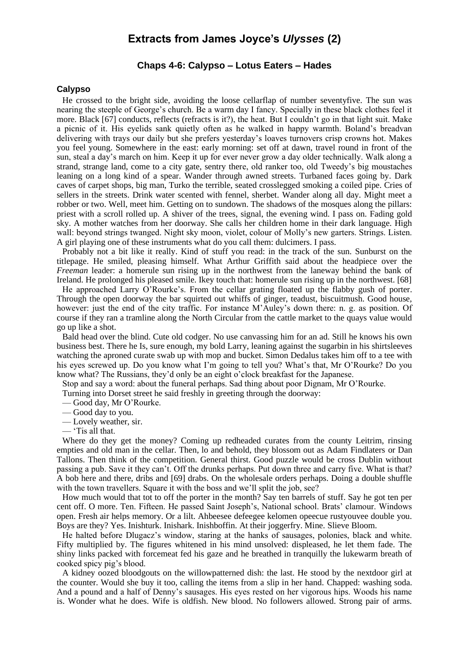# **Extracts from James Joyce's** *Ulysses* **(2)**

# **Chaps 4-6: Calypso – Lotus Eaters – Hades**

# **Calypso**

He crossed to the bright side, avoiding the loose cellarflap of number seventyfive. The sun was nearing the steeple of George's church. Be a warm day I fancy. Specially in these black clothes feel it more. Black [67] conducts, reflects (refracts is it?), the heat. But I couldn't go in that light suit. Make a picnic of it. His eyelids sank quietly often as he walked in happy warmth. Boland's breadvan delivering with trays our daily but she prefers yesterday's loaves turnovers crisp crowns hot. Makes you feel young. Somewhere in the east: early morning: set off at dawn, travel round in front of the sun, steal a day's march on him. Keep it up for ever never grow a day older technically. Walk along a strand, strange land, come to a city gate, sentry there, old ranker too, old Tweedy's big moustaches leaning on a long kind of a spear. Wander through awned streets. Turbaned faces going by. Dark caves of carpet shops, big man, Turko the terrible, seated crosslegged smoking a coiled pipe. Cries of sellers in the streets. Drink water scented with fennel, sherbet. Wander along all day. Might meet a robber or two. Well, meet him. Getting on to sundown. The shadows of the mosques along the pillars: priest with a scroll rolled up. A shiver of the trees, signal, the evening wind. I pass on. Fading gold sky. A mother watches from her doorway. She calls her children home in their dark language. High wall: beyond strings twanged. Night sky moon, violet, colour of Molly's new garters. Strings. Listen. A girl playing one of these instruments what do you call them: dulcimers. I pass.

Probably not a bit like it really. Kind of stuff you read: in the track of the sun. Sunburst on the titlepage. He smiled, pleasing himself. What Arthur Griffith said about the headpiece over the *Freeman* leader: a homerule sun rising up in the northwest from the laneway behind the bank of Ireland. He prolonged his pleased smile. Ikey touch that: homerule sun rising up in the northwest. [68]

He approached Larry O'Rourke's. From the cellar grating floated up the flabby gush of porter. Through the open doorway the bar squirted out whiffs of ginger, teadust, biscuitmush. Good house, however: just the end of the city traffic. For instance M'Auley's down there: n. g. as position. Of course if they ran a tramline along the North Circular from the cattle market to the quays value would go up like a shot.

Bald head over the blind. Cute old codger. No use canvassing him for an ad. Still he knows his own business best. There he Is, sure enough, my bold Larry, leaning against the sugarbin in his shirtsleeves watching the aproned curate swab up with mop and bucket. Simon Dedalus takes him off to a tee with his eyes screwed up. Do you know what I'm going to tell you? What's that, Mr O'Rourke? Do you know what? The Russians, they'd only be an eight o'clock breakfast for the Japanese.

Stop and say a word: about the funeral perhaps. Sad thing about poor Dignam, Mr O'Rourke.

Turning into Dorset street he said freshly in greeting through the doorway:

— Good day, Mr O'Rourke.

— Good day to you.

— Lovely weather, sir.

— 'Tis all that.

Where do they get the money? Coming up redheaded curates from the county Leitrim, rinsing empties and old man in the cellar. Then, lo and behold, they blossom out as Adam Findlaters or Dan Tallons. Then think of the competition. General thirst. Good puzzle would be cross Dublin without passing a pub. Save it they can't. Off the drunks perhaps. Put down three and carry five. What is that? A bob here and there, dribs and [69] drabs. On the wholesale orders perhaps. Doing a double shuffle with the town travellers. Square it with the boss and we'll split the job, see?

How much would that tot to off the porter in the month? Say ten barrels of stuff. Say he got ten per cent off. O more. Ten. Fifteen. He passed Saint Joseph's, National school. Brats' clamour. Windows open. Fresh air helps memory. Or a lilt. Ahbeesee defeegee kelomen opeecue rustyouvee double you. Boys are they? Yes. Inishturk. Inishark. Inishboffin. At their joggerfry. Mine. Slieve Bloom.

He halted before Dlugacz's window, staring at the hanks of sausages, polonies, black and white. Fifty multiplied by. The figures whitened in his mind unsolved: displeased, he let them fade. The shiny links packed with forcemeat fed his gaze and he breathed in tranquilly the lukewarm breath of cooked spicy pig's blood.

A kidney oozed bloodgouts on the willowpatterned dish: the last. He stood by the nextdoor girl at the counter. Would she buy it too, calling the items from a slip in her hand. Chapped: washing soda. And a pound and a half of Denny's sausages. His eyes rested on her vigorous hips. Woods his name is. Wonder what he does. Wife is oldfish. New blood. No followers allowed. Strong pair of arms.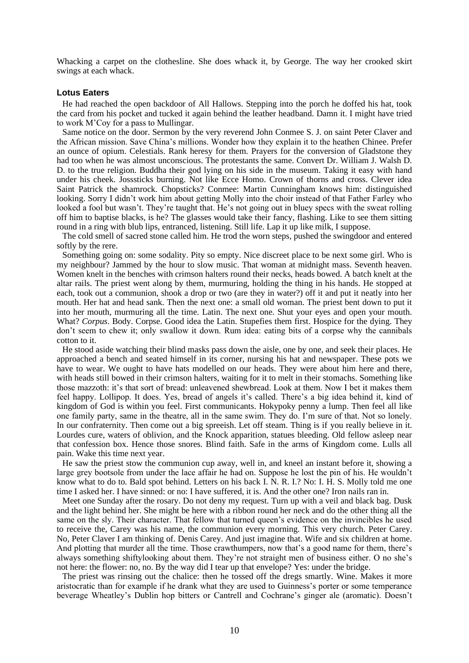Whacking a carpet on the clothesline. She does whack it, by George. The way her crooked skirt swings at each whack.

#### **Lotus Eaters**

He had reached the open backdoor of All Hallows. Stepping into the porch he doffed his hat, took the card from his pocket and tucked it again behind the leather headband. Damn it. I might have tried to work M'Coy for a pass to Mullingar.

Same notice on the door. Sermon by the very reverend John Conmee S. J. on saint Peter Claver and the African mission. Save China's millions. Wonder how they explain it to the heathen Chinee. Prefer an ounce of opium. Celestials. Rank heresy for them. Prayers for the conversion of Gladstone they had too when he was almost unconscious. The protestants the same. Convert Dr. William J. Walsh D. D. to the true religion. Buddha their god lying on his side in the museum. Taking it easy with hand under his cheek. Josssticks burning. Not like Ecce Homo. Crown of thorns and cross. Clever idea Saint Patrick the shamrock. Chopsticks? Conmee: Martin Cunningham knows him: distinguished looking. Sorry I didn't work him about getting Molly into the choir instead of that Father Farley who looked a fool but wasn't. They're taught that. He's not going out in bluey specs with the sweat rolling off him to baptise blacks, is he? The glasses would take their fancy, flashing. Like to see them sitting round in a ring with blub lips, entranced, listening. Still life. Lap it up like milk, I suppose.

The cold smell of sacred stone called him. He trod the worn steps, pushed the swingdoor and entered softly by the rere.

Something going on: some sodality. Pity so empty. Nice discreet place to be next some girl. Who is my neighbour? Jammed by the hour to slow music. That woman at midnight mass. Seventh heaven. Women knelt in the benches with crimson halters round their necks, heads bowed. A batch knelt at the altar rails. The priest went along by them, murmuring, holding the thing in his hands. He stopped at each, took out a communion, shook a drop or two (are they in water?) off it and put it neatly into her mouth. Her hat and head sank. Then the next one: a small old woman. The priest bent down to put it into her mouth, murmuring all the time. Latin. The next one. Shut your eyes and open your mouth. What? *Corpus*. Body. Corpse. Good idea the Latin. Stupefies them first. Hospice for the dying. They don't seem to chew it; only swallow it down. Rum idea: eating bits of a corpse why the cannibals cotton to it.

He stood aside watching their blind masks pass down the aisle, one by one, and seek their places. He approached a bench and seated himself in its corner, nursing his hat and newspaper. These pots we have to wear. We ought to have hats modelled on our heads. They were about him here and there, with heads still bowed in their crimson halters, waiting for it to melt in their stomachs. Something like those mazzoth: it's that sort of bread: unleavened shewbread. Look at them. Now I bet it makes them feel happy. Lollipop. It does. Yes, bread of angels it's called. There's a big idea behind it, kind of kingdom of God is within you feel. First communicants. Hokypoky penny a lump. Then feel all like one family party, same in the theatre, all in the same swim. They do. I'm sure of that. Not so lonely. In our confraternity. Then come out a big spreeish. Let off steam. Thing is if you really believe in it. Lourdes cure, waters of oblivion, and the Knock apparition, statues bleeding. Old fellow asleep near that confession box. Hence those snores. Blind faith. Safe in the arms of Kingdom come. Lulls all pain. Wake this time next year.

He saw the priest stow the communion cup away, well in, and kneel an instant before it, showing a large grey bootsole from under the lace affair he had on. Suppose he lost the pin of his. He wouldn't know what to do to. Bald spot behind. Letters on his back I. N. R. I.? No: I. H. S. Molly told me one time I asked her. I have sinned: or no: I have suffered, it is. And the other one? Iron nails ran in.

Meet one Sunday after the rosary. Do not deny my request. Turn up with a veil and black bag. Dusk and the light behind her. She might be here with a ribbon round her neck and do the other thing all the same on the sly. Their character. That fellow that turned queen's evidence on the invincibles he used to receive the, Carey was his name, the communion every morning. This very church. Peter Carey. No, Peter Claver I am thinking of. Denis Carey. And just imagine that. Wife and six children at home. And plotting that murder all the time. Those crawthumpers, now that's a good name for them, there's always something shiftylooking about them. They're not straight men of business either. O no she's not here: the flower: no, no. By the way did I tear up that envelope? Yes: under the bridge.

The priest was rinsing out the chalice: then he tossed off the dregs smartly. Wine. Makes it more aristocratic than for example if he drank what they are used to Guinness's porter or some temperance beverage Wheatley's Dublin hop bitters or Cantrell and Cochrane's ginger ale (aromatic). Doesn't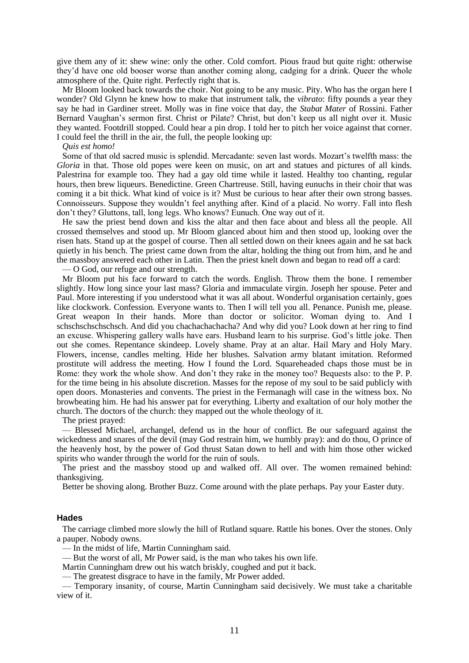give them any of it: shew wine: only the other. Cold comfort. Pious fraud but quite right: otherwise they'd have one old booser worse than another coming along, cadging for a drink. Queer the whole atmosphere of the. Quite right. Perfectly right that is.

Mr Bloom looked back towards the choir. Not going to be any music. Pity. Who has the organ here I wonder? Old Glynn he knew how to make that instrument talk, the *vibrato*: fifty pounds a year they say he had in Gardiner street. Molly was in fine voice that day, the *Stabat Mater* of Rossini. Father Bernard Vaughan's sermon first. Christ or Pilate? Christ, but don't keep us all night over it. Music they wanted. Footdrill stopped. Could hear a pin drop. I told her to pitch her voice against that corner. I could feel the thrill in the air, the full, the people looking up:

# *Quis est homo!*

Some of that old sacred music is splendid. Mercadante: seven last words. Mozart's twelfth mass: the *Gloria* in that. Those old popes were keen on music, on art and statues and pictures of all kinds. Palestrina for example too. They had a gay old time while it lasted. Healthy too chanting, regular hours, then brew liqueurs. Benedictine. Green Chartreuse. Still, having eunuchs in their choir that was coming it a bit thick. What kind of voice is it? Must be curious to hear after their own strong basses. Connoisseurs. Suppose they wouldn't feel anything after. Kind of a placid. No worry. Fall into flesh don't they? Gluttons, tall, long legs. Who knows? Eunuch. One way out of it.

He saw the priest bend down and kiss the altar and then face about and bless all the people. All crossed themselves and stood up. Mr Bloom glanced about him and then stood up, looking over the risen hats. Stand up at the gospel of course. Then all settled down on their knees again and he sat back quietly in his bench. The priest came down from the altar, holding the thing out from him, and he and the massboy answered each other in Latin. Then the priest knelt down and began to read off a card:

— O God, our refuge and our strength.

Mr Bloom put his face forward to catch the words. English. Throw them the bone. I remember slightly. How long since your last mass? Gloria and immaculate virgin. Joseph her spouse. Peter and Paul. More interesting if you understood what it was all about. Wonderful organisation certainly, goes like clockwork. Confession. Everyone wants to. Then I will tell you all. Penance. Punish me, please. Great weapon In their hands. More than doctor or solicitor. Woman dying to. And I schschschschschsch. And did you chachachachacha? And why did you? Look down at her ring to find an excuse. Whispering gallery walls have ears. Husband learn to his surprise. God's little joke. Then out she comes. Repentance skindeep. Lovely shame. Pray at an altar. Hail Mary and Holy Mary. Flowers, incense, candles melting. Hide her blushes. Salvation army blatant imitation. Reformed prostitute will address the meeting. How I found the Lord. Squareheaded chaps those must be in Rome: they work the whole show. And don't they rake in the money too? Bequests also: to the P. P. for the time being in his absolute discretion. Masses for the repose of my soul to be said publicly with open doors. Monasteries and convents. The priest in the Fermanagh will case in the witness box. No browbeating him. He had his answer pat for everything. Liberty and exaltation of our holy mother the church. The doctors of the church: they mapped out the whole theology of it.

The priest prayed:

— Blessed Michael, archangel, defend us in the hour of conflict. Be our safeguard against the wickedness and snares of the devil (may God restrain him, we humbly pray): and do thou, O prince of the heavenly host, by the power of God thrust Satan down to hell and with him those other wicked spirits who wander through the world for the ruin of souls.

The priest and the massboy stood up and walked off. All over. The women remained behind: thanksgiving.

Better be shoving along. Brother Buzz. Come around with the plate perhaps. Pay your Easter duty.

### **Hades**

The carriage climbed more slowly the hill of Rutland square. Rattle his bones. Over the stones. Only a pauper. Nobody owns.

— In the midst of life, Martin Cunningham said.

— But the worst of all, Mr Power said, is the man who takes his own life.

Martin Cunningham drew out his watch briskly, coughed and put it back.

— The greatest disgrace to have in the family, Mr Power added.

— Temporary insanity, of course, Martin Cunningham said decisively. We must take a charitable view of it.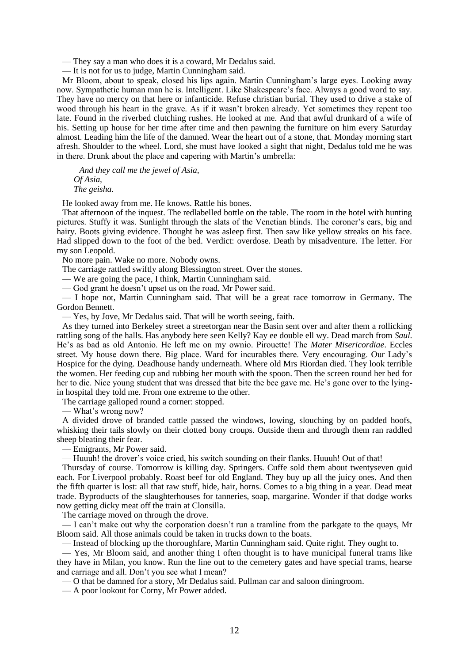— They say a man who does it is a coward, Mr Dedalus said.

— It is not for us to judge, Martin Cunningham said.

Mr Bloom, about to speak, closed his lips again. Martin Cunningham's large eyes. Looking away now. Sympathetic human man he is. Intelligent. Like Shakespeare's face. Always a good word to say. They have no mercy on that here or infanticide. Refuse christian burial. They used to drive a stake of wood through his heart in the grave. As if it wasn't broken already. Yet sometimes they repent too late. Found in the riverbed clutching rushes. He looked at me. And that awful drunkard of a wife of his. Setting up house for her time after time and then pawning the furniture on him every Saturday almost. Leading him the life of the damned. Wear the heart out of a stone, that. Monday morning start afresh. Shoulder to the wheel. Lord, she must have looked a sight that night, Dedalus told me he was in there. Drunk about the place and capering with Martin's umbrella:

*And they call me the jewel of Asia, Of Asia, The geisha.*

He looked away from me. He knows. Rattle his bones.

That afternoon of the inquest. The redlabelled bottle on the table. The room in the hotel with hunting pictures. Stuffy it was. Sunlight through the slats of the Venetian blinds. The coroner's ears, big and hairy. Boots giving evidence. Thought he was asleep first. Then saw like yellow streaks on his face. Had slipped down to the foot of the bed. Verdict: overdose. Death by misadventure. The letter. For my son Leopold.

No more pain. Wake no more. Nobody owns.

The carriage rattled swiftly along Blessington street. Over the stones.

— We are going the pace, I think, Martin Cunningham said.

— God grant he doesn't upset us on the road, Mr Power said.

— I hope not, Martin Cunningham said. That will be a great race tomorrow in Germany. The Gordon Bennett.

— Yes, by Jove, Mr Dedalus said. That will be worth seeing, faith.

As they turned into Berkeley street a streetorgan near the Basin sent over and after them a rollicking rattling song of the halls. Has anybody here seen Kelly? Kay ee double ell wy. Dead march from *Saul*. He's as bad as old Antonio. He left me on my ownio. Pirouette! The *Mater Misericordiae*. Eccles street. My house down there. Big place. Ward for incurables there. Very encouraging. Our Lady's Hospice for the dying. Deadhouse handy underneath. Where old Mrs Riordan died. They look terrible the women. Her feeding cup and rubbing her mouth with the spoon. Then the screen round her bed for her to die. Nice young student that was dressed that bite the bee gave me. He's gone over to the lyingin hospital they told me. From one extreme to the other.

The carriage galloped round a corner: stopped.

— What's wrong now?

A divided drove of branded cattle passed the windows, lowing, slouching by on padded hoofs, whisking their tails slowly on their clotted bony croups. Outside them and through them ran raddled sheep bleating their fear.

— Emigrants, Mr Power said.

— Huuuh! the drover's voice cried, his switch sounding on their flanks. Huuuh! Out of that!

Thursday of course. Tomorrow is killing day. Springers. Cuffe sold them about twentyseven quid each. For Liverpool probably. Roast beef for old England. They buy up all the juicy ones. And then the fifth quarter is lost: all that raw stuff, hide, hair, horns. Comes to a big thing in a year. Dead meat trade. Byproducts of the slaughterhouses for tanneries, soap, margarine. Wonder if that dodge works now getting dicky meat off the train at Clonsilla.

The carriage moved on through the drove.

— I can't make out why the corporation doesn't run a tramline from the parkgate to the quays, Mr Bloom said. All those animals could be taken in trucks down to the boats.

— Instead of blocking up the thoroughfare, Martin Cunningham said. Quite right. They ought to.

— Yes, Mr Bloom said, and another thing I often thought is to have municipal funeral trams like they have in Milan, you know. Run the line out to the cemetery gates and have special trams, hearse and carriage and all. Don't you see what I mean?

— O that be damned for a story, Mr Dedalus said. Pullman car and saloon diningroom.

— A poor lookout for Corny, Mr Power added.